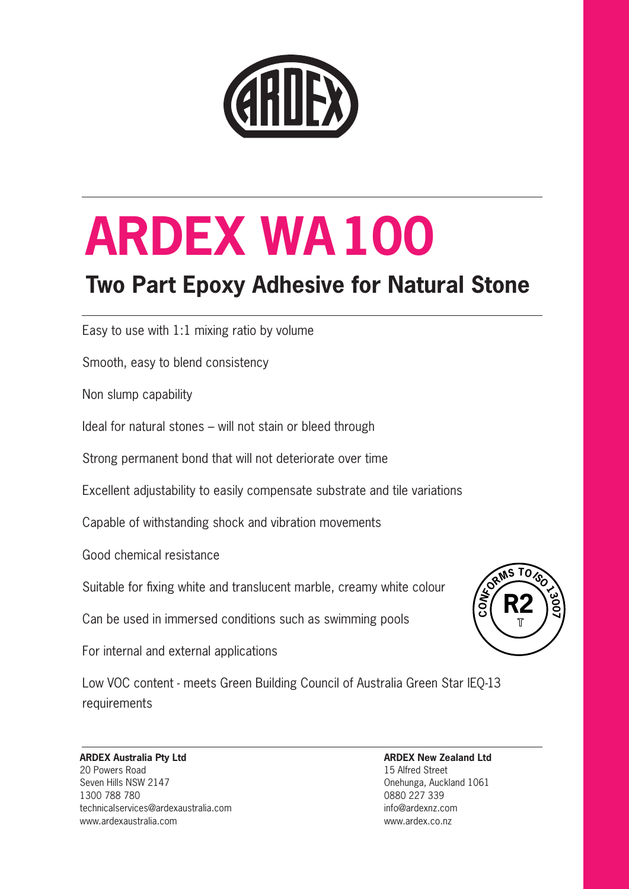

## **Two Part Epoxy Adhesive for Natural Stone**

Easy to use with 1:1 mixing ratio by volume

Smooth, easy to blend consistency

Non slump capability

Ideal for natural stones – will not stain or bleed through

Strong permanent bond that will not deteriorate over time

Excellent adjustability to easily compensate substrate and tile variations

Capable of withstanding shock and vibration movements

Good chemical resistance

Suitable for fixing white and translucent marble, creamy white colour

Can be used in immersed conditions such as swimming pools

For internal and external applications

Low VOC content - meets Green Building Council of Australia Green Star IEQ-13 requirements

#### **ARDEX Australia Pty Ltd** 20 Powers Road Seven Hills NSW 2147 1300 788 780

technicalservices@ardexaustralia.com www.ardexaustralia.com

**ARDEX New Zealand Ltd**  15 Alfred Street Onehunga, Auckland 1061 0880 227 339 info@ardexnz.com www.ardex.co.nz

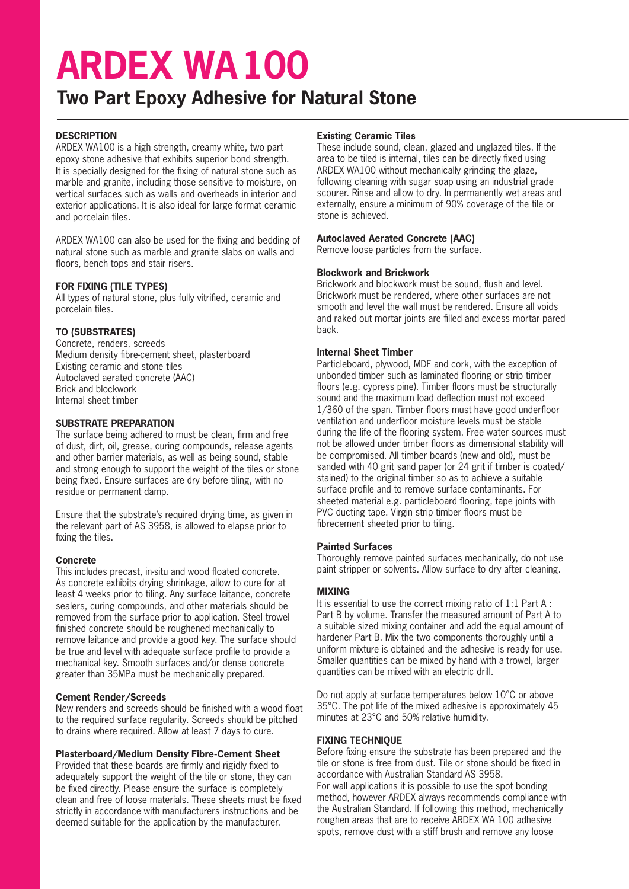### **Two Part Epoxy Adhesive for Natural Stone**

#### **DESCRIPTION**

ARDEX WA100 is a high strength, creamy white, two part epoxy stone adhesive that exhibits superior bond strength. It is specially designed for the fixing of natural stone such as marble and granite, including those sensitive to moisture, on vertical surfaces such as walls and overheads in interior and exterior applications. It is also ideal for large format ceramic and porcelain tiles.

ARDEX WA100 can also be used for the fixing and bedding of natural stone such as marble and granite slabs on walls and floors, bench tops and stair risers.

#### **FOR FIXING (TILE TYPES)**

All types of natural stone, plus fully vitrified, ceramic and porcelain tiles.

#### **TO (SUBSTRATES)**

Concrete, renders, screeds Medium density fibre-cement sheet, plasterboard Existing ceramic and stone tiles Autoclaved aerated concrete (AAC) Brick and blockwork Internal sheet timber

#### **SUBSTRATE PREPARATION**

The surface being adhered to must be clean, firm and free of dust, dirt, oil, grease, curing compounds, release agents and other barrier materials, as well as being sound, stable and strong enough to support the weight of the tiles or stone being fixed. Ensure surfaces are dry before tiling, with no residue or permanent damp.

Ensure that the substrate's required drying time, as given in the relevant part of AS 3958, is allowed to elapse prior to fixing the tiles.

#### **Concrete**

This includes precast, in-situ and wood floated concrete. As concrete exhibits drying shrinkage, allow to cure for at least 4 weeks prior to tiling. Any surface laitance, concrete sealers, curing compounds, and other materials should be removed from the surface prior to application. Steel trowel finished concrete should be roughened mechanically to remove laitance and provide a good key. The surface should be true and level with adequate surface profile to provide a mechanical key. Smooth surfaces and/or dense concrete greater than 35MPa must be mechanically prepared.

#### **Cement Render/Screeds**

New renders and screeds should be finished with a wood float to the required surface regularity. Screeds should be pitched to drains where required. Allow at least 7 days to cure.

#### **Plasterboard/Medium Density Fibre-Cement Sheet**

Provided that these boards are firmly and rigidly fixed to adequately support the weight of the tile or stone, they can be fixed directly. Please ensure the surface is completely clean and free of loose materials. These sheets must be fixed strictly in accordance with manufacturers instructions and be deemed suitable for the application by the manufacturer.

#### **Existing Ceramic Tiles**

These include sound, clean, glazed and unglazed tiles. If the area to be tiled is internal, tiles can be directly fixed using ARDEX WA100 without mechanically grinding the glaze, following cleaning with sugar soap using an industrial grade scourer. Rinse and allow to dry. In permanently wet areas and externally, ensure a minimum of 90% coverage of the tile or stone is achieved.

#### **Autoclaved Aerated Concrete (AAC)**

Remove loose particles from the surface.

#### **Blockwork and Brickwork**

Brickwork and blockwork must be sound, flush and level. Brickwork must be rendered, where other surfaces are not smooth and level the wall must be rendered. Ensure all voids and raked out mortar joints are filled and excess mortar pared back.

#### **Internal Sheet Timber**

Particleboard, plywood, MDF and cork, with the exception of unbonded timber such as laminated flooring or strip timber floors (e.g. cypress pine). Timber floors must be structurally sound and the maximum load deflection must not exceed 1/360 of the span. Timber floors must have good underfloor ventilation and underfloor moisture levels must be stable during the life of the flooring system. Free water sources must not be allowed under timber floors as dimensional stability will be compromised. All timber boards (new and old), must be sanded with 40 grit sand paper (or 24 grit if timber is coated/ stained) to the original timber so as to achieve a suitable surface profile and to remove surface contaminants. For sheeted material e.g. particleboard flooring, tape joints with PVC ducting tape. Virgin strip timber floors must be fibrecement sheeted prior to tiling.

#### **Painted Surfaces**

Thoroughly remove painted surfaces mechanically, do not use paint stripper or solvents. Allow surface to dry after cleaning.

#### **MIXING**

It is essential to use the correct mixing ratio of 1:1 Part A : Part B by volume. Transfer the measured amount of Part A to a suitable sized mixing container and add the equal amount of hardener Part B. Mix the two components thoroughly until a uniform mixture is obtained and the adhesive is ready for use. Smaller quantities can be mixed by hand with a trowel, larger quantities can be mixed with an electric drill.

Do not apply at surface temperatures below 10°C or above 35°C. The pot life of the mixed adhesive is approximately 45 minutes at 23°C and 50% relative humidity.

#### **FIXING TECHNIQUE**

Before fixing ensure the substrate has been prepared and the tile or stone is free from dust. Tile or stone should be fixed in accordance with Australian Standard AS 3958. For wall applications it is possible to use the spot bonding method, however ARDEX always recommends compliance with the Australian Standard. If following this method, mechanically roughen areas that are to receive ARDEX WA 100 adhesive spots, remove dust with a stiff brush and remove any loose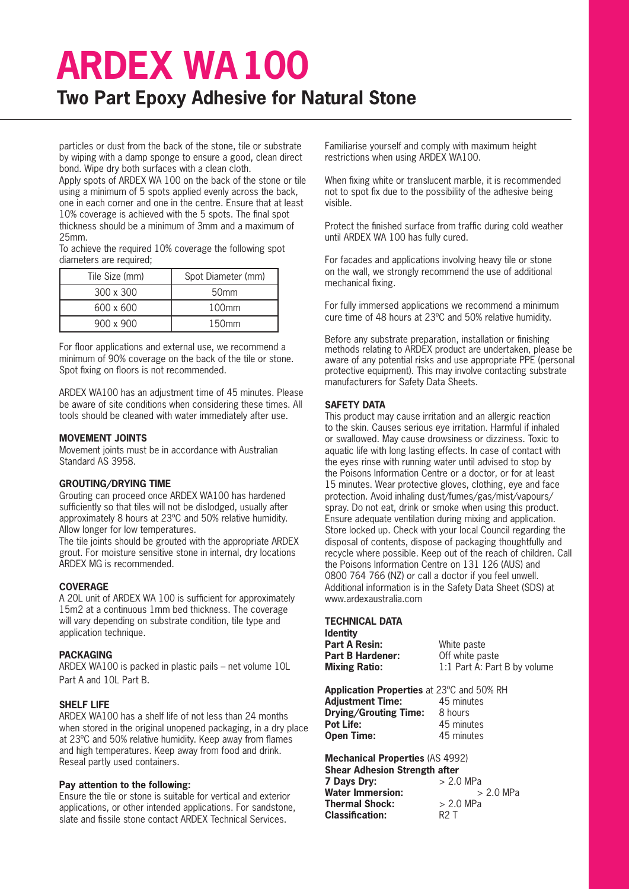### **Two Part Epoxy Adhesive for Natural Stone**

particles or dust from the back of the stone, tile or substrate by wiping with a damp sponge to ensure a good, clean direct bond. Wipe dry both surfaces with a clean cloth.

Apply spots of ARDEX WA 100 on the back of the stone or tile using a minimum of 5 spots applied evenly across the back, one in each corner and one in the centre. Ensure that at least 10% coverage is achieved with the 5 spots. The final spot thickness should be a minimum of 3mm and a maximum of 25mm.

To achieve the required 10% coverage the following spot diameters are required;

| Tile Size (mm) | Spot Diameter (mm) |
|----------------|--------------------|
| 300 x 300      | 50 <sub>mm</sub>   |
| 600 x 600      | $100$ mm           |
| 900 x 900      | $150$ mm           |

For floor applications and external use, we recommend a minimum of 90% coverage on the back of the tile or stone. Spot fixing on floors is not recommended.

ARDEX WA100 has an adjustment time of 45 minutes. Please be aware of site conditions when considering these times. All tools should be cleaned with water immediately after use.

#### **MOVEMENT JOINTS**

Movement joints must be in accordance with Australian Standard AS 3958.

#### **GROUTING/DRYING TIME**

Grouting can proceed once ARDEX WA100 has hardened sufficiently so that tiles will not be dislodged, usually after approximately 8 hours at 23ºC and 50% relative humidity. Allow longer for low temperatures.

The tile joints should be grouted with the appropriate ARDEX grout. For moisture sensitive stone in internal, dry locations ARDEX MG is recommended.

#### **COVERAGE**

A 20L unit of ARDEX WA 100 is sufficient for approximately 15m2 at a continuous 1mm bed thickness. The coverage will vary depending on substrate condition, tile type and application technique.

#### **PACKAGING**

ARDEX WA100 is packed in plastic pails – net volume 10L Part A and 10L Part B.

#### **SHELF LIFE**

ARDEX WA100 has a shelf life of not less than 24 months when stored in the original unopened packaging, in a dry place at 23ºC and 50% relative humidity. Keep away from flames and high temperatures. Keep away from food and drink. Reseal partly used containers.

#### **Pay attention to the following:**

Ensure the tile or stone is suitable for vertical and exterior applications, or other intended applications. For sandstone, slate and fissile stone contact ARDEX Technical Services.

Familiarise yourself and comply with maximum height restrictions when using ARDEX WA100.

When fixing white or translucent marble, it is recommended not to spot fix due to the possibility of the adhesive being visible.

Protect the finished surface from traffic during cold weather until ARDEX WA 100 has fully cured.

For facades and applications involving heavy tile or stone on the wall, we strongly recommend the use of additional mechanical fixing.

For fully immersed applications we recommend a minimum cure time of 48 hours at 23ºC and 50% relative humidity.

Before any substrate preparation, installation or finishing methods relating to ARDEX product are undertaken, please be aware of any potential risks and use appropriate PPE (personal protective equipment). This may involve contacting substrate manufacturers for Safety Data Sheets.

#### **SAFETY DATA**

This product may cause irritation and an allergic reaction to the skin. Causes serious eye irritation. Harmful if inhaled or swallowed. May cause drowsiness or dizziness. Toxic to aquatic life with long lasting effects. In case of contact with the eyes rinse with running water until advised to stop by the Poisons Information Centre or a doctor, or for at least 15 minutes. Wear protective gloves, clothing, eye and face protection. Avoid inhaling dust/fumes/gas/mist/vapours/ spray. Do not eat, drink or smoke when using this product. Ensure adequate ventilation during mixing and application. Store locked up. Check with your local Council regarding the disposal of contents, dispose of packaging thoughtfully and recycle where possible. Keep out of the reach of children. Call the Poisons Information Centre on 131 126 (AUS) and 0800 764 766 (NZ) or call a doctor if you feel unwell. Additional information is in the Safety Data Sheet (SDS) at www.ardexaustralia.com

#### **TECHNICAL DATA**

| ldentitv                |                              |
|-------------------------|------------------------------|
| Part A Resin:           | White paste                  |
| <b>Part B Hardener:</b> | Off white paste              |
| <b>Mixing Ratio:</b>    | 1:1 Part A: Part B by volume |
|                         |                              |

**Application Properties** at 23ºC and 50% RH **Adjustment Time:** 45 minutes **Drying/Grouting Time:** 8 hours<br>**Pot Life:** 45 minu **Pot Life:** 45 minutes **Open Time:** 45 minutes

**Mechanical Properties** (AS 4992) **Shear Adhesion Strength after**<br>**7 Days Dry:**  $>$  2.0 MPa **7 Days Dry:**  $> 2.0 \text{ MPa}$ <br>**Water Immersion:**  $> 2.0 \text{ MPa}$ **Water Immersion:** > > > > **2.0 MPa Thermal Shock: Classification:** R2 T